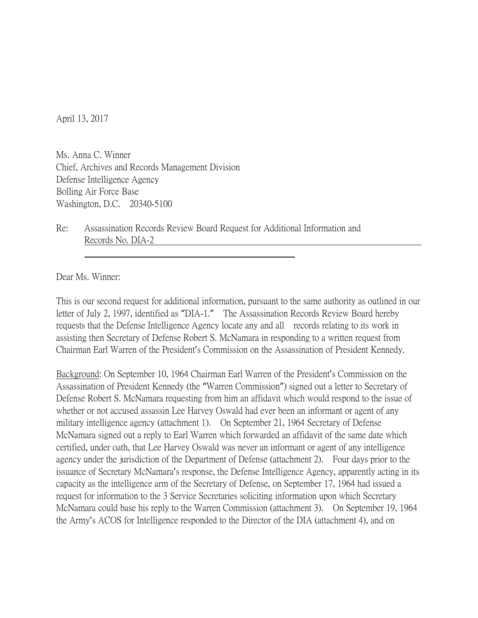April 13, 2017

Ms. Anna C. Winner Chief, Archives and Records Management Division Defense Intelligence Agency Bolling Air Force Base Washington, D.C. 20340-5100

Re: Assassination Records Review Board Request for Additional Information and Records No. DIA-2

Dear Ms. Winner:

This is our second request for additional information, pursuant to the same authority as outlined in our letter of July 2, 1997, identified as "DIA-1." The Assassination Records Review Board hereby requests that the Defense Intelligence Agency locate any and all records relating to its work in assisting then Secretary of Defense Robert S. McNamara in responding to a written request from Chairman Earl Warren of the President's Commission on the Assassination of President Kennedy.

Background: On September 10, 1964 Chairman Earl Warren of the President's Commission on the Assassination of President Kennedy (the "Warren Commission") signed out a letter to Secretary of Defense Robert S. McNamara requesting from him an affidavit which would respond to the issue of whether or not accused assassin Lee Harvey Oswald had ever been an informant or agent of any military intelligence agency (attachment 1). On September 21, 1964 Secretary of Defense McNamara signed out a reply to Earl Warren which forwarded an affidavit of the same date which certified, under oath, that Lee Harvey Oswald was never an informant or agent of any intelligence agency under the jurisdiction of the Department of Defense (attachment 2). Four days prior to the issuance of Secretary McNamara's response, the Defense Intelligence Agency, apparently acting in its capacity as the intelligence arm of the Secretary of Defense, on September 17, 1964 had issued a request for information to the 3 Service Secretaries soliciting information upon which Secretary McNamara could base his reply to the Warren Commission (attachment 3). On September 19, 1964 the Army's ACOS for Intelligence responded to the Director of the DIA (attachment 4), and on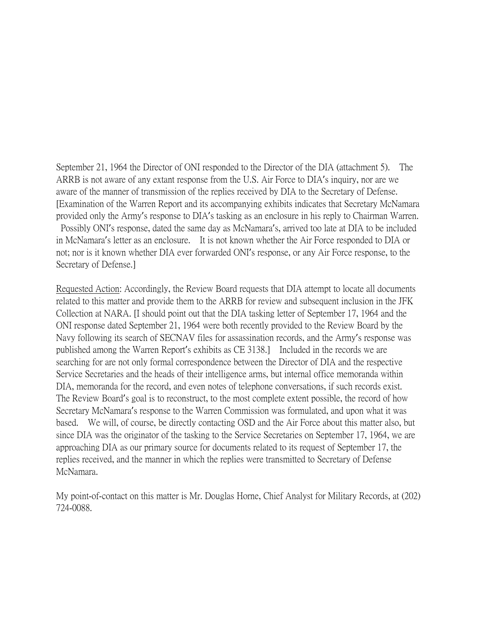September 21, 1964 the Director of ONI responded to the Director of the DIA (attachment 5). The ARRB is not aware of any extant response from the U.S. Air Force to DIA's inquiry, nor are we aware of the manner of transmission of the replies received by DIA to the Secretary of Defense. [Examination of the Warren Report and its accompanying exhibits indicates that Secretary McNamara provided only the Army's response to DIA's tasking as an enclosure in his reply to Chairman Warren. Possibly ONI's response, dated the same day as McNamara's, arrived too late at DIA to be included in McNamara's letter as an enclosure. It is not known whether the Air Force responded to DIA or not; nor is it known whether DIA ever forwarded ONI's response, or any Air Force response, to the Secretary of Defense.]

Requested Action: Accordingly, the Review Board requests that DIA attempt to locate all documents related to this matter and provide them to the ARRB for review and subsequent inclusion in the JFK Collection at NARA. [I should point out that the DIA tasking letter of September 17, 1964 and the ONI response dated September 21, 1964 were both recently provided to the Review Board by the Navy following its search of SECNAV files for assassination records, and the Army's response was published among the Warren Report's exhibits as CE 3138.] Included in the records we are searching for are not only formal correspondence between the Director of DIA and the respective Service Secretaries and the heads of their intelligence arms, but internal office memoranda within DIA, memoranda for the record, and even notes of telephone conversations, if such records exist. The Review Board's goal is to reconstruct, to the most complete extent possible, the record of how Secretary McNamara's response to the Warren Commission was formulated, and upon what it was based. We will, of course, be directly contacting OSD and the Air Force about this matter also, but since DIA was the originator of the tasking to the Service Secretaries on September 17, 1964, we are approaching DIA as our primary source for documents related to its request of September 17, the replies received, and the manner in which the replies were transmitted to Secretary of Defense McNamara.

My point-of-contact on this matter is Mr. Douglas Horne, Chief Analyst for Military Records, at (202) 724-0088.